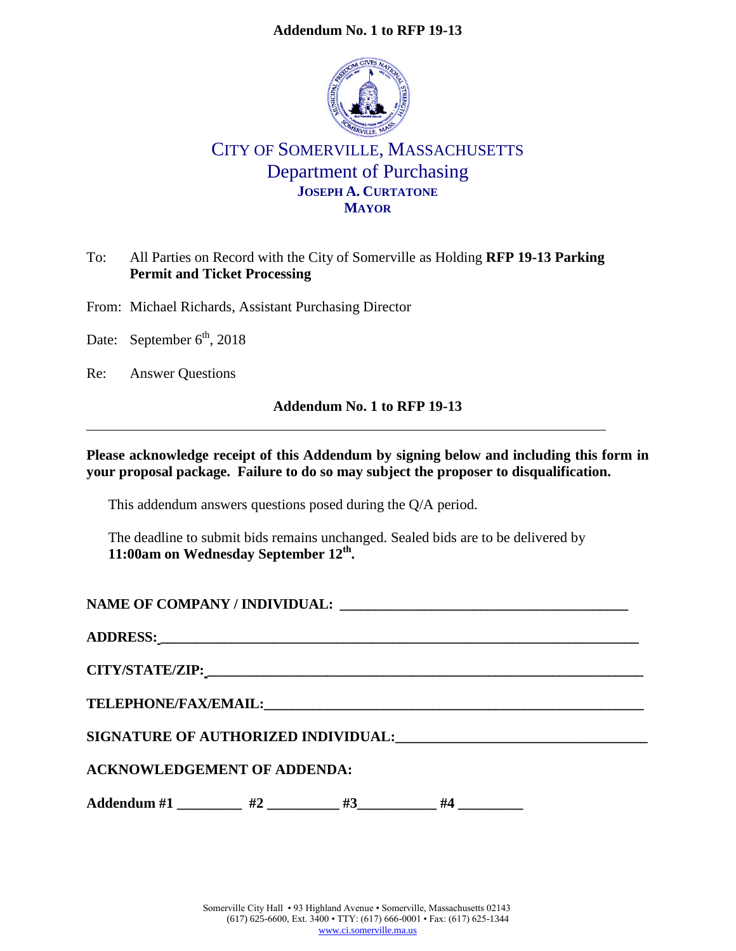

# CITY OF SOMERVILLE, MASSACHUSETTS Department of Purchasing **JOSEPH A. CURTATONE MAYOR**

# To: All Parties on Record with the City of Somerville as Holding **RFP 19-13 Parking Permit and Ticket Processing**

From: Michael Richards, Assistant Purchasing Director

Date: September  $6<sup>th</sup>$ , 2018

Re: Answer Questions

### **Addendum No. 1 to RFP 19-13**

### **Please acknowledge receipt of this Addendum by signing below and including this form in your proposal package. Failure to do so may subject the proposer to disqualification.**

This addendum answers questions posed during the Q/A period.

The deadline to submit bids remains unchanged. Sealed bids are to be delivered by **11:00am on Wednesday September 12th .** 

**NAME OF COMPANY / INDIVIDUAL: \_\_\_\_\_\_\_\_\_\_\_\_\_\_\_\_\_\_\_\_\_\_\_\_\_\_\_\_\_\_\_\_\_\_\_\_\_\_\_\_\_**

| <b>ADDRESS:</b> |  |  |
|-----------------|--|--|
|                 |  |  |

**CITY/STATE/ZIP: \_\_\_\_\_\_\_\_\_\_\_\_\_\_\_\_\_\_\_\_\_\_\_\_\_\_\_\_\_\_\_\_\_\_\_\_\_\_\_\_\_\_\_\_\_\_\_\_\_\_\_\_\_\_\_\_\_\_\_\_\_\_**

 $\bf{TELEPHONE/FAX/EMAIL:}$ 

**SIGNATURE OF AUTHORIZED INDIVIDUAL:\_\_\_\_\_\_\_\_\_\_\_\_\_\_\_\_\_\_\_\_\_\_\_\_\_\_\_\_\_\_\_\_\_\_\_**

**ACKNOWLEDGEMENT OF ADDENDA:**

Addendum #1 \_\_\_\_\_\_\_\_ #2 \_\_\_\_\_\_\_\_ #3 \_\_\_\_\_\_\_ #4 \_\_\_\_\_\_\_\_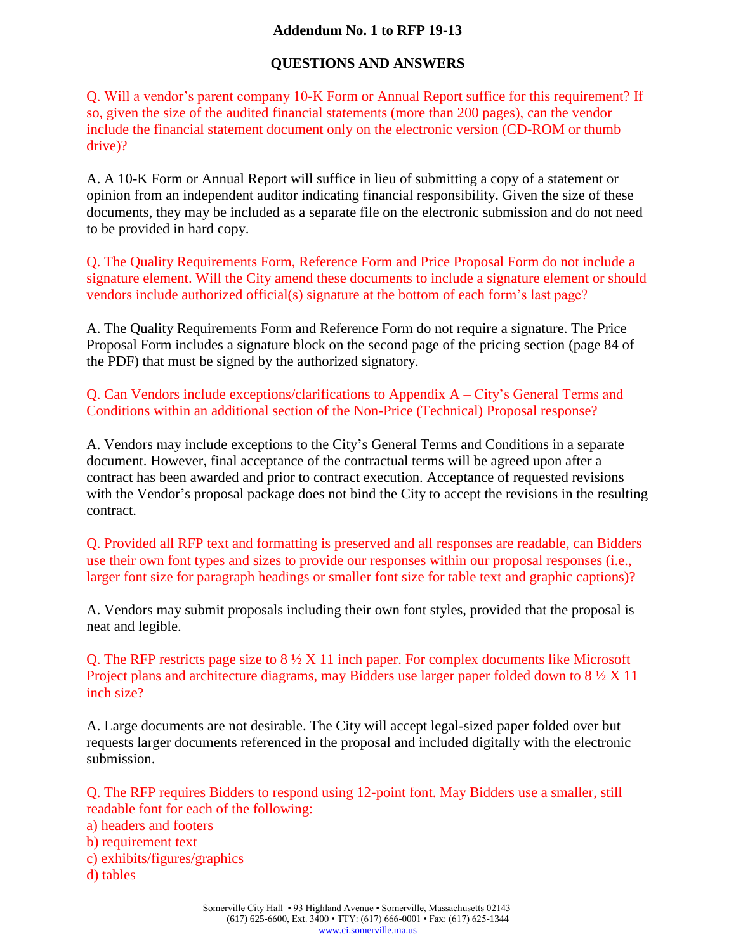# **QUESTIONS AND ANSWERS**

Q. Will a vendor's parent company 10-K Form or Annual Report suffice for this requirement? If so, given the size of the audited financial statements (more than 200 pages), can the vendor include the financial statement document only on the electronic version (CD-ROM or thumb drive)?

A. A 10-K Form or Annual Report will suffice in lieu of submitting a copy of a statement or opinion from an independent auditor indicating financial responsibility. Given the size of these documents, they may be included as a separate file on the electronic submission and do not need to be provided in hard copy.

Q. The Quality Requirements Form, Reference Form and Price Proposal Form do not include a signature element. Will the City amend these documents to include a signature element or should vendors include authorized official(s) signature at the bottom of each form's last page?

A. The Quality Requirements Form and Reference Form do not require a signature. The Price Proposal Form includes a signature block on the second page of the pricing section (page 84 of the PDF) that must be signed by the authorized signatory.

Q. Can Vendors include exceptions/clarifications to Appendix A – City's General Terms and Conditions within an additional section of the Non-Price (Technical) Proposal response?

A. Vendors may include exceptions to the City's General Terms and Conditions in a separate document. However, final acceptance of the contractual terms will be agreed upon after a contract has been awarded and prior to contract execution. Acceptance of requested revisions with the Vendor's proposal package does not bind the City to accept the revisions in the resulting contract.

Q. Provided all RFP text and formatting is preserved and all responses are readable, can Bidders use their own font types and sizes to provide our responses within our proposal responses (i.e., larger font size for paragraph headings or smaller font size for table text and graphic captions)?

A. Vendors may submit proposals including their own font styles, provided that the proposal is neat and legible.

Q. The RFP restricts page size to 8 ½ X 11 inch paper. For complex documents like Microsoft Project plans and architecture diagrams, may Bidders use larger paper folded down to 8  $\frac{1}{2}$  X 11 inch size?

A. Large documents are not desirable. The City will accept legal-sized paper folded over but requests larger documents referenced in the proposal and included digitally with the electronic submission.

Q. The RFP requires Bidders to respond using 12-point font. May Bidders use a smaller, still readable font for each of the following: a) headers and footers b) requirement text c) exhibits/figures/graphics d) tables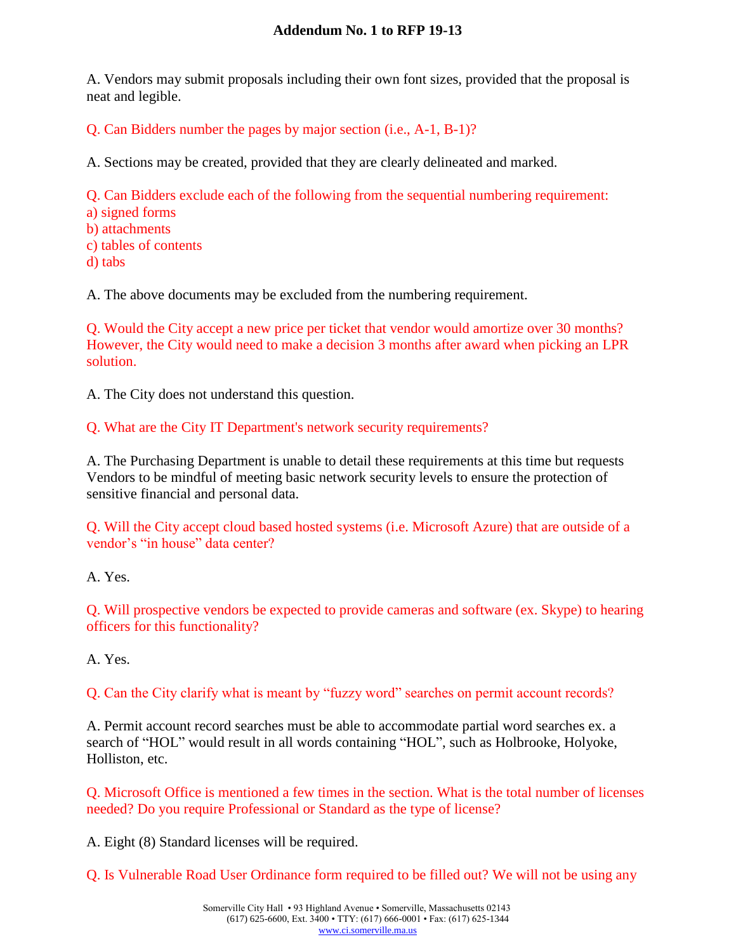A. Vendors may submit proposals including their own font sizes, provided that the proposal is neat and legible.

Q. Can Bidders number the pages by major section (i.e., A-1, B-1)?

A. Sections may be created, provided that they are clearly delineated and marked.

Q. Can Bidders exclude each of the following from the sequential numbering requirement:

- a) signed forms
- b) attachments
- c) tables of contents
- d) tabs

A. The above documents may be excluded from the numbering requirement.

Q. Would the City accept a new price per ticket that vendor would amortize over 30 months? However, the City would need to make a decision 3 months after award when picking an LPR solution.

A. The City does not understand this question.

Q. What are the City IT Department's network security requirements?

A. The Purchasing Department is unable to detail these requirements at this time but requests Vendors to be mindful of meeting basic network security levels to ensure the protection of sensitive financial and personal data.

Q. Will the City accept cloud based hosted systems (i.e. Microsoft Azure) that are outside of a vendor's "in house" data center?

A. Yes.

Q. Will prospective vendors be expected to provide cameras and software (ex. Skype) to hearing officers for this functionality?

A. Yes.

Q. Can the City clarify what is meant by "fuzzy word" searches on permit account records?

A. Permit account record searches must be able to accommodate partial word searches ex. a search of "HOL" would result in all words containing "HOL", such as Holbrooke, Holyoke, Holliston, etc.

Q. Microsoft Office is mentioned a few times in the section. What is the total number of licenses needed? Do you require Professional or Standard as the type of license?

A. Eight (8) Standard licenses will be required.

Q. Is Vulnerable Road User Ordinance form required to be filled out? We will not be using any